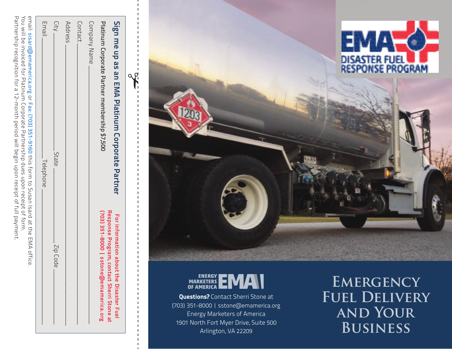Partnership recognition for a 12-month period will begin upon receipt of full payment. You will be invoiced for Platinum Corporate Partnership dues upon receipt of form Partnership recognition for a 12-month period will begin upon receipt of full payment. You will be invoiced for Platinum Corporate Partnership dues upon receipt of form. email: sisard@emamerica.orgß o<br>C Fax: (703) 351-9160ł this form to Susan Isard at the EMA office.

| Sign me up as an EMA Platinum Corporate Partner                                                                                                                                                                                | For information about the Disaster Fuel                                            |
|--------------------------------------------------------------------------------------------------------------------------------------------------------------------------------------------------------------------------------|------------------------------------------------------------------------------------|
| Platinum Corporate Partner membership \$7,500                                                                                                                                                                                  | (703) 351-8000   sstone@emamerica.org<br>Response Program, contact Sherri Stone at |
| Company Name                                                                                                                                                                                                                   |                                                                                    |
| Contact                                                                                                                                                                                                                        |                                                                                    |
| Address                                                                                                                                                                                                                        |                                                                                    |
| <b>City</b><br>State                                                                                                                                                                                                           | Zip Code                                                                           |
| Email<br>Telephone                                                                                                                                                                                                             |                                                                                    |
| PING STATES IN THE PART OF THE STATE OF THE STATE OF THE STATE OF STATES IN THE THE PING OF THE STATES OF THE STATES OF THE STATE OF THE STATE OF THE STATE OF THE STATE OF THE STATE OF THE STATE OF THE STATE OF THE STATE O |                                                                                    |





**Questions?** Contact Sherri Stone at (703) 351-8000 | sstone@emamerica.org Energy Marketers of America 1901 North Fort Myer Drive, Suite 500 Arlington, VA 22209

**Emergency Fuel Delivery and Your Business**